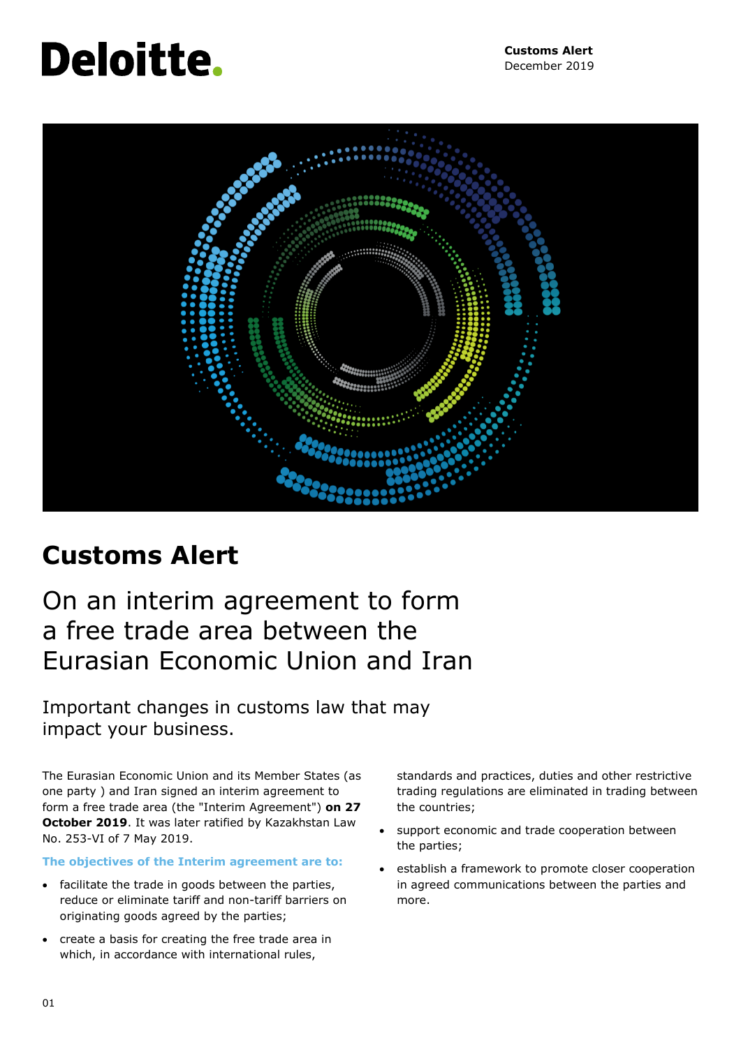# **Deloitte.**



## **Customs Alert**

## On an interim agreement to form a free trade area between the Eurasian Economic Union and Iran

Important changes in customs law that may impact your business.

The Eurasian Economic Union and its Member States (as one party ) and Iran signed an interim agreement to form a free trade area (the "Interim Agreement") **on 27 October 2019**. It was later ratified by Kazakhstan Law No. 253-VI of 7 May 2019.

**The objectives of the Interim agreement are to:**

- facilitate the trade in goods between the parties, reduce or eliminate tariff and non-tariff barriers on originating goods agreed by the parties;
- create a basis for creating the free trade area in which, in accordance with international rules,

standards and practices, duties and other restrictive trading regulations are eliminated in trading between the countries;

- support economic and trade cooperation between the parties;
- establish a framework to promote closer cooperation in agreed communications between the parties and more.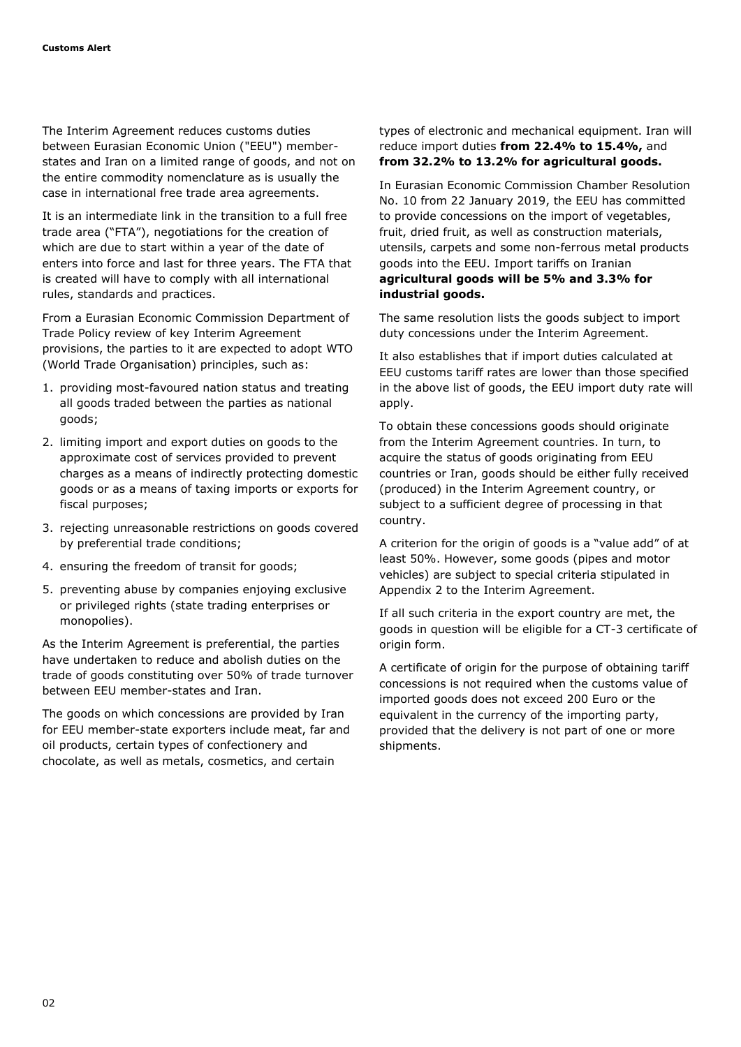The Interim Agreement reduces customs duties between Eurasian Economic Union ("EEU") memberstates and Iran on a limited range of goods, and not on the entire commodity nomenclature as is usually the case in international free trade area agreements.

It is an intermediate link in the transition to a full free trade area ("FTA"), negotiations for the creation of which are due to start within a year of the date of enters into force and last for three years. The FTA that is created will have to comply with all international rules, standards and practices.

From a Eurasian Economic Commission Department of Trade Policy review of key Interim Agreement provisions, the parties to it are expected to adopt WTO (World Trade Organisation) principles, such as:

- 1. providing most-favoured nation status and treating all goods traded between the parties as national goods;
- 2. limiting import and export duties on goods to the approximate cost of services provided to prevent charges as a means of indirectly protecting domestic goods or as a means of taxing imports or exports for fiscal purposes;
- 3. rejecting unreasonable restrictions on goods covered by preferential trade conditions;
- 4. ensuring the freedom of transit for goods;
- 5. preventing abuse by companies enjoying exclusive or privileged rights (state trading enterprises or monopolies).

As the Interim Agreement is preferential, the parties have undertaken to reduce and abolish duties on the trade of goods constituting over 50% of trade turnover between EEU member-states and Iran.

The goods on which concessions are provided by Iran for EEU member-state exporters include meat, far and oil products, certain types of confectionery and chocolate, as well as metals, cosmetics, and certain

types of electronic and mechanical equipment. Iran will reduce import duties **from 22.4% to 15.4%,** and **from 32.2% to 13.2% for agricultural goods.**

In Eurasian Economic Commission Chamber Resolution No. 10 from 22 January 2019, the EEU has committed to provide concessions on the import of vegetables, fruit, dried fruit, as well as construction materials, utensils, carpets and some non-ferrous metal products goods into the EEU. Import tariffs on Iranian **agricultural goods will be 5% and 3.3% for industrial goods.**

The same resolution lists the goods subject to import duty concessions under the Interim Agreement.

It also establishes that if import duties calculated at EEU customs tariff rates are lower than those specified in the above list of goods, the EEU import duty rate will apply.

To obtain these concessions goods should originate from the Interim Agreement countries. In turn, to acquire the status of goods originating from EEU countries or Iran, goods should be either fully received (produced) in the Interim Agreement country, or subject to a sufficient degree of processing in that country.

A criterion for the origin of goods is a "value add" of at least 50%. However, some goods (pipes and motor vehicles) are subject to special criteria stipulated in Appendix 2 to the Interim Agreement.

If all such criteria in the export country are met, the goods in question will be eligible for a CT-3 certificate of origin form.

A certificate of origin for the purpose of obtaining tariff concessions is not required when the customs value of imported goods does not exceed 200 Euro or the equivalent in the currency of the importing party, provided that the delivery is not part of one or more shipments.